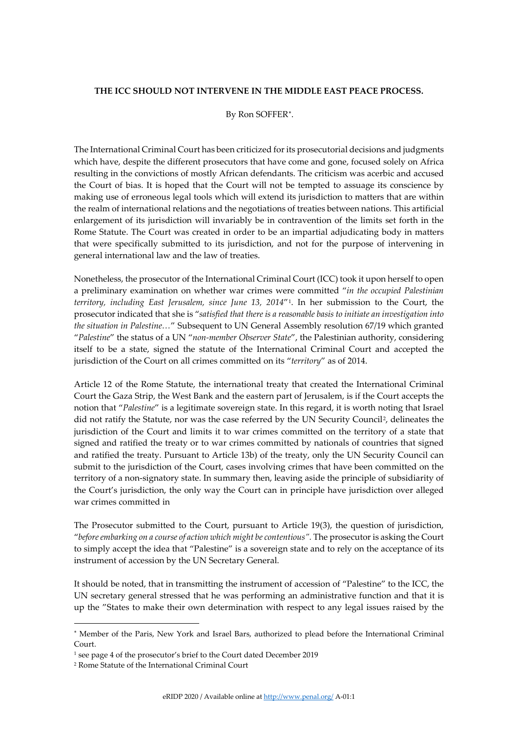## **THE ICC SHOULD NOT INTERVENE IN THE MIDDLE EAST PEACE PROCESS.**

## By Ron SOFFER[∗](#page-0-0) .

The International Criminal Court has been criticized for its prosecutorial decisions and judgments which have, despite the different prosecutors that have come and gone, focused solely on Africa resulting in the convictions of mostly African defendants. The criticism was acerbic and accused the Court of bias. It is hoped that the Court will not be tempted to assuage its conscience by making use of erroneous legal tools which will extend its jurisdiction to matters that are within the realm of international relations and the negotiations of treaties between nations. This artificial enlargement of its jurisdiction will invariably be in contravention of the limits set forth in the Rome Statute. The Court was created in order to be an impartial adjudicating body in matters that were specifically submitted to its jurisdiction, and not for the purpose of intervening in general international law and the law of treaties.

Nonetheless, the prosecutor of the International Criminal Court (ICC) took it upon herself to open a preliminary examination on whether war crimes were committed "*in the occupied Palestinian territory, including East Jerusalem, since June 13, 2014*"[1.](#page-0-1) In her submission to the Court, the prosecutor indicated that she is "*satisfied that there is a reasonable basis to initiate an investigation into the situation in Palestine…*" Subsequent to UN General Assembly resolution 67/19 which granted "*Palestine*" the status of a UN "*non-member Observer State*", the Palestinian authority, considering itself to be a state, signed the statute of the International Criminal Court and accepted the jurisdiction of the Court on all crimes committed on its "*territory*" as of 2014.

Article 12 of the Rome Statute, the international treaty that created the International Criminal Court the Gaza Strip, the West Bank and the eastern part of Jerusalem, is if the Court accepts the notion that "*Palestine*" is a legitimate sovereign state. In this regard, it is worth noting that Israel did not ratify the Statute, nor was the case referred by the UN Security Council<sup>2</sup>, delineates the jurisdiction of the Court and limits it to war crimes committed on the territory of a state that signed and ratified the treaty or to war crimes committed by nationals of countries that signed and ratified the treaty. Pursuant to Article 13b) of the treaty, only the UN Security Council can submit to the jurisdiction of the Court, cases involving crimes that have been committed on the territory of a non-signatory state. In summary then, leaving aside the principle of subsidiarity of the Court's jurisdiction, the only way the Court can in principle have jurisdiction over alleged war crimes committed in

The Prosecutor submitted to the Court, pursuant to Article 19(3), the question of jurisdiction, "*before embarking on a course of action which might be contentious".* The prosecutor is asking the Court to simply accept the idea that "Palestine" is a sovereign state and to rely on the acceptance of its instrument of accession by the UN Secretary General.

It should be noted, that in transmitting the instrument of accession of "Palestine" to the ICC, the UN secretary general stressed that he was performing an administrative function and that it is up the "States to make their own determination with respect to any legal issues raised by the

<span id="page-0-0"></span><sup>∗</sup> Member of the Paris, New York and Israel Bars, authorized to plead before the International Criminal Court.

<span id="page-0-1"></span><sup>1</sup> see page 4 of the prosecutor's brief to the Court dated December 2019

<span id="page-0-2"></span><sup>2</sup> Rome Statute of the International Criminal Court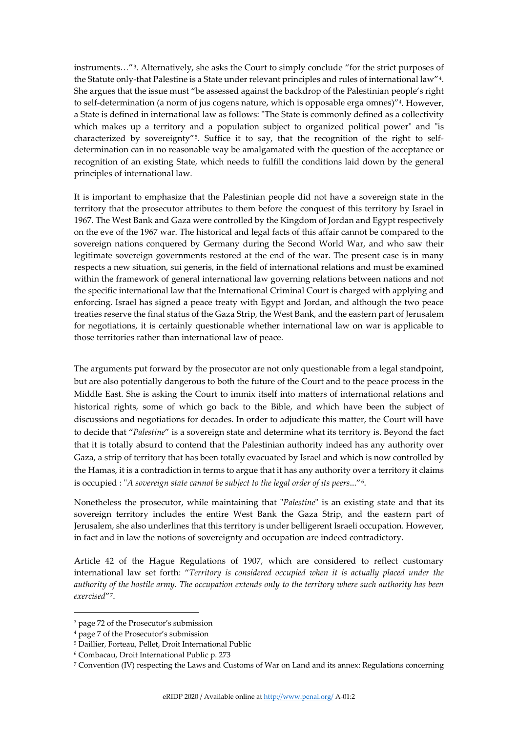instruments…"[3.](#page-1-0) Alternatively, she asks the Court to simply conclude "for the strict purposes of the Statute only-that Palestine is a State under relevant principles and rules of international law"[4.](#page-1-1) She argues that the issue must "be assessed against the backdrop of the Palestinian people's right to self-determination (a norm of jus cogens nature, which is opposable erga omnes)"4. However, a State is defined in international law as follows: "The State is commonly defined as a collectivity which makes up a territory and a population subject to organized political power" and "is characterized by sovereignty"[5](#page-1-2). Suffice it to say, that the recognition of the right to selfdetermination can in no reasonable way be amalgamated with the question of the acceptance or recognition of an existing State, which needs to fulfill the conditions laid down by the general principles of international law.

It is important to emphasize that the Palestinian people did not have a sovereign state in the territory that the prosecutor attributes to them before the conquest of this territory by Israel in 1967. The West Bank and Gaza were controlled by the Kingdom of Jordan and Egypt respectively on the eve of the 1967 war. The historical and legal facts of this affair cannot be compared to the sovereign nations conquered by Germany during the Second World War, and who saw their legitimate sovereign governments restored at the end of the war. The present case is in many respects a new situation, sui generis, in the field of international relations and must be examined within the framework of general international law governing relations between nations and not the specific international law that the International Criminal Court is charged with applying and enforcing. Israel has signed a peace treaty with Egypt and Jordan, and although the two peace treaties reserve the final status of the Gaza Strip, the West Bank, and the eastern part of Jerusalem for negotiations, it is certainly questionable whether international law on war is applicable to those territories rather than international law of peace.

The arguments put forward by the prosecutor are not only questionable from a legal standpoint, but are also potentially dangerous to both the future of the Court and to the peace process in the Middle East. She is asking the Court to immix itself into matters of international relations and historical rights, some of which go back to the Bible, and which have been the subject of discussions and negotiations for decades. In order to adjudicate this matter, the Court will have to decide that "*Palestine*" is a sovereign state and determine what its territory is. Beyond the fact that it is totally absurd to contend that the Palestinian authority indeed has any authority over Gaza, a strip of territory that has been totally evacuated by Israel and which is now controlled by the Hamas, it is a contradiction in terms to argue that it has any authority over a territory it claims is occupied : "*A sovereign state cannot be subject to the legal order of its peers*..."[6](#page-1-3).

Nonetheless the prosecutor, while maintaining that "*Palestine*" is an existing state and that its sovereign territory includes the entire West Bank the Gaza Strip, and the eastern part of Jerusalem, she also underlines that this territory is under belligerent Israeli occupation. However, in fact and in law the notions of sovereignty and occupation are indeed contradictory.

Article 42 of the Hague Regulations of 1907, which are considered to reflect customary international law set forth: "*Territory is considered occupied when it is actually placed under the authority of the hostile army. The occupation extends only to the territory where such authority has been exercised*"[7.](#page-1-4)

<span id="page-1-0"></span><sup>3</sup> page 72 of the Prosecutor's submission

<span id="page-1-1"></span><sup>4</sup> page 7 of the Prosecutor's submission

<span id="page-1-2"></span><sup>5</sup> Daillier, Forteau, Pellet, Droit International Public

<span id="page-1-3"></span><sup>6</sup> Combacau, Droit International Public p. 273

<span id="page-1-4"></span><sup>7</sup> Convention (IV) respecting the Laws and Customs of War on Land and its annex: Regulations concerning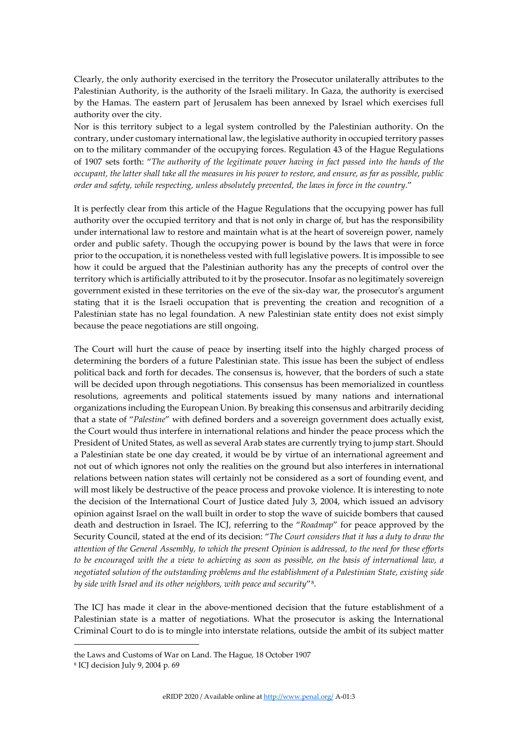Clearly, the only authority exercised in the territory the Prosecutor unilaterally attributes to the Palestinian Authority, is the authority of the Israeli military. In Gaza, the authority is exercised by the Hamas. The eastern part of Jerusalem has been annexed by Israel which exercises full authority over the city.

Nor is this territory subject to a legal system controlled by the Palestinian authority. On the contrary, under customary international law, the legislative authority in occupied territory passes on to the military commander of the occupying forces. Regulation 43 of the Hague Regulations of 1907 sets forth: "*The authority of the legitimate power having in fact passed into the hands of the occupant, the latter shall take all the measures in his power to restore, and ensure, as far as possible, public order and safety, while respecting, unless absolutely prevented, the laws in force in the country*."

It is perfectly clear from this article of the Hague Regulations that the occupying power has full authority over the occupied territory and that is not only in charge of, but has the responsibility under international law to restore and maintain what is at the heart of sovereign power, namely order and public safety. Though the occupying power is bound by the laws that were in force prior to the occupation, it is nonetheless vested with full legislative powers. It is impossible to see how it could be argued that the Palestinian authority has any the precepts of control over the territory which is artificially attributed to it by the prosecutor. Insofar as no legitimately sovereign government existed in these territories on the eve of the six-day war, the prosecutor's argument stating that it is the Israeli occupation that is preventing the creation and recognition of a Palestinian state has no legal foundation. A new Palestinian state entity does not exist simply because the peace negotiations are still ongoing.

The Court will hurt the cause of peace by inserting itself into the highly charged process of determining the borders of a future Palestinian state. This issue has been the subject of endless political back and forth for decades. The consensus is, however, that the borders of such a state will be decided upon through negotiations. This consensus has been memorialized in countless resolutions, agreements and political statements issued by many nations and international organizations including the European Union. By breaking this consensus and arbitrarily deciding that a state of "*Palestine*" with defined borders and a sovereign government does actually exist, the Court would thus interfere in international relations and hinder the peace process which the President of United States, as well as several Arab states are currently trying to jump start. Should a Palestinian state be one day created, it would be by virtue of an international agreement and not out of which ignores not only the realities on the ground but also interferes in international relations between nation states will certainly not be considered as a sort of founding event, and will most likely be destructive of the peace process and provoke violence. It is interesting to note the decision of the International Court of Justice dated July 3, 2004, which issued an advisory opinion against Israel on the wall built in order to stop the wave of suicide bombers that caused death and destruction in Israel. The ICJ, referring to the "*Roadmap*" for peace approved by the Security Council, stated at the end of its decision: "*The Court considers that it has a duty to draw the attention of the General Assembly, to which the present Opinion is addressed, to the need for these efforts to be encouraged with the a view to achieving as soon as possible, on the basis of international law, a negotiated solution of the outstanding problems and the establishment of a Palestinian State, existing side by side with Israel and its other neighbors, with peace and security*"[8.](#page-2-0)

The ICJ has made it clear in the above-mentioned decision that the future establishment of a Palestinian state is a matter of negotiations. What the prosecutor is asking the International Criminal Court to do is to mingle into interstate relations, outside the ambit of its subject matter

the Laws and Customs of War on Land. The Hague, 18 October 1907

<span id="page-2-0"></span><sup>8</sup> ICJ decision July 9, 2004 p. 69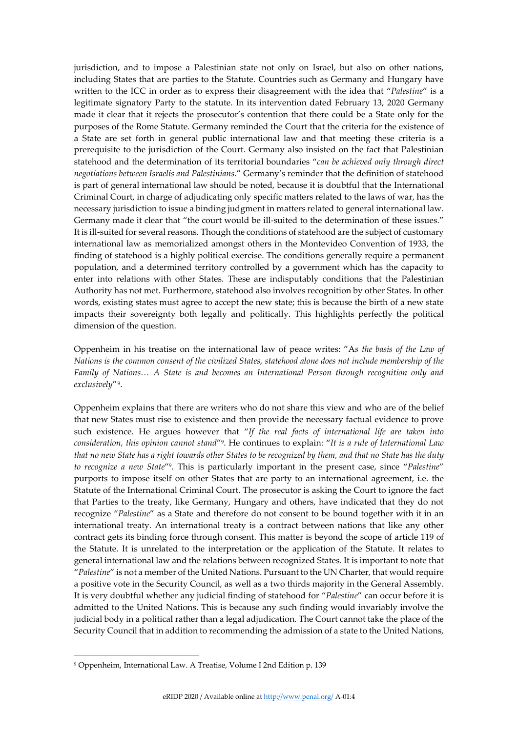jurisdiction, and to impose a Palestinian state not only on Israel, but also on other nations, including States that are parties to the Statute. Countries such as Germany and Hungary have written to the ICC in order as to express their disagreement with the idea that "*Palestine*" is a legitimate signatory Party to the statute. In its intervention dated February 13, 2020 Germany made it clear that it rejects the prosecutor's contention that there could be a State only for the purposes of the Rome Statute. Germany reminded the Court that the criteria for the existence of a State are set forth in general public international law and that meeting these criteria is a prerequisite to the jurisdiction of the Court. Germany also insisted on the fact that Palestinian statehood and the determination of its territorial boundaries "*can be achieved only through direct negotiations between Israelis and Palestinians*." Germany's reminder that the definition of statehood is part of general international law should be noted, because it is doubtful that the International Criminal Court, in charge of adjudicating only specific matters related to the laws of war, has the necessary jurisdiction to issue a binding judgment in matters related to general international law. Germany made it clear that "the court would be ill-suited to the determination of these issues." It is ill-suited for several reasons. Though the conditions of statehood are the subject of customary international law as memorialized amongst others in the Montevideo Convention of 1933, the finding of statehood is a highly political exercise. The conditions generally require a permanent population, and a determined territory controlled by a government which has the capacity to enter into relations with other States. These are indisputably conditions that the Palestinian Authority has not met. Furthermore, statehood also involves recognition by other States. In other words, existing states must agree to accept the new state; this is because the birth of a new state impacts their sovereignty both legally and politically. This highlights perfectly the political dimension of the question.

Oppenheim in his treatise on the international law of peace writes: "A*s the basis of the Law of Nations is the common consent of the civilized States, statehood alone does not include membership of the Family of Nations… A State is and becomes an International Person through recognition only and exclusively*"[9](#page-3-0).

Oppenheim explains that there are writers who do not share this view and who are of the belief that new States must rise to existence and then provide the necessary factual evidence to prove such existence. He argues however that "*If the real facts of international life are taken into consideration, this opinion cannot stand*"9. He continues to explain: "*It is a rule of International Law that no new State has a right towards other States to be recognized by them, and that no State has the duty to recognize a new State*"9. This is particularly important in the present case, since "*Palestine*" purports to impose itself on other States that are party to an international agreement, i.e. the Statute of the International Criminal Court. The prosecutor is asking the Court to ignore the fact that Parties to the treaty, like Germany, Hungary and others, have indicated that they do not recognize "*Palestine*" as a State and therefore do not consent to be bound together with it in an international treaty. An international treaty is a contract between nations that like any other contract gets its binding force through consent. This matter is beyond the scope of article 119 of the Statute. It is unrelated to the interpretation or the application of the Statute. It relates to general international law and the relations between recognized States. It is important to note that "*Palestine*" is not a member of the United Nations. Pursuant to the UN Charter, that would require a positive vote in the Security Council, as well as a two thirds majority in the General Assembly. It is very doubtful whether any judicial finding of statehood for "*Palestine*" can occur before it is admitted to the United Nations. This is because any such finding would invariably involve the judicial body in a political rather than a legal adjudication. The Court cannot take the place of the Security Council that in addition to recommending the admission of a state to the United Nations,

<span id="page-3-0"></span><sup>9</sup> Oppenheim, International Law. A Treatise, Volume I 2nd Edition p. 139